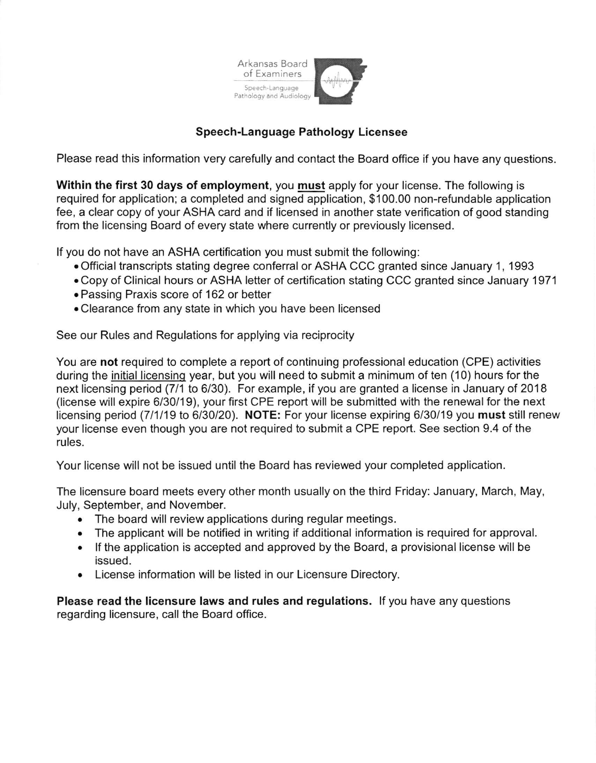

## Speech-Language Pathology Licensee

Please read this information very carefully and contact the Board office if you have any questions.

Within the first 30 days of employment, you must apply for your license. The following is required for application; a completed and signed application, \$100.00 non-refundable application fee, a clear copy of your ASHA card and if licensed in another state verification of good standing from the licensing Board of every state where currently or previously licensed.

lf you do not have an ASHA certification you must submit the following:

- . Official transcripts stating degree conferral or ASHA CCC granted since January 1 , 1993
- . Copy of Clinical hours or ASHA letter of certification stating CCC granted since January 1971
- . Passing Praxis score of 162 or better
- . Clearance from any state in which you have been licensed

See our Rules and Regulations for applying via reciprocity

You are not required to complete a report of continuing professional education (CPE) activities during the initial licensinq year, but you will need to submit a minimum of ten (10) hours for the next licensing period (7/1 to 6/30). For example, if you are granted a license in January of 2O1B (license will expire 6/30/19), your first CPE report will be submitted with the renewal for the next licensing period (7/1/19 to 6/30/20). NOTE: For your license expiring 6/30/19 you must still renew your license even though you are not required to submit a CPE report. See section 9.4 of the rules.

Your license will not be issued until the Board has reviewed your completed application.

The licensure board meets every other month usually on the third Friday: January, March, May, July, September, and November.

- . The board will review applications during regular meetings.
- . The applicant will be notified in writing if additional information is required for approval.
- If the application is accepted and approved by the Board, a provisional license will be issued.
- License information will be listed in our Licensure Directory.

Please read the licensure laws and rules and regulations. lf you have any questions regarding licensure, call the Board office.